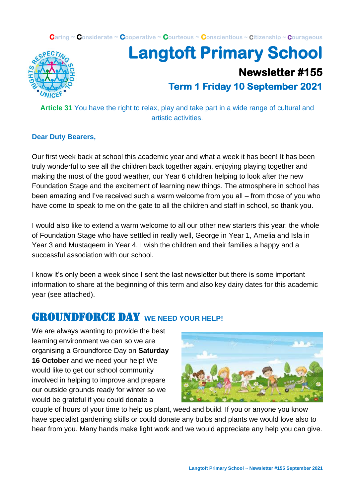**Caring ~ Considerate ~ Cooperative ~ Courteous ~ Conscientious ~ Citizenship ~ Courageous**



# **Langtoft Primary School Newsletter #155 Term 1 Friday 10 September 2021**

**Article 31** You have the right to relax, play and take part in a wide range of cultural and artistic activities.

#### **Dear Duty Bearers,**

Our first week back at school this academic year and what a week it has been! It has been truly wonderful to see all the children back together again, enjoying playing together and making the most of the good weather, our Year 6 children helping to look after the new Foundation Stage and the excitement of learning new things. The atmosphere in school has been amazing and I've received such a warm welcome from you all – from those of you who have come to speak to me on the gate to all the children and staff in school, so thank you.

I would also like to extend a warm welcome to all our other new starters this year: the whole of Foundation Stage who have settled in really well, George in Year 1, Amelia and Isla in Year 3 and Mustaqeem in Year 4. I wish the children and their families a happy and a successful association with our school.

I know it's only been a week since I sent the last newsletter but there is some important information to share at the beginning of this term and also key dairy dates for this academic year (see attached).

### **GROUNDFORCE DAY** WE NEED YOUR HELP!

We are always wanting to provide the best learning environment we can so we are organising a Groundforce Day on **Saturday 16 October** and we need your help! We would like to get our school community involved in helping to improve and prepare our outside grounds ready for winter so we would be grateful if you could donate a



couple of hours of your time to help us plant, weed and build. If you or anyone you know have specialist gardening skills or could donate any bulbs and plants we would love also to hear from you. Many hands make light work and we would appreciate any help you can give.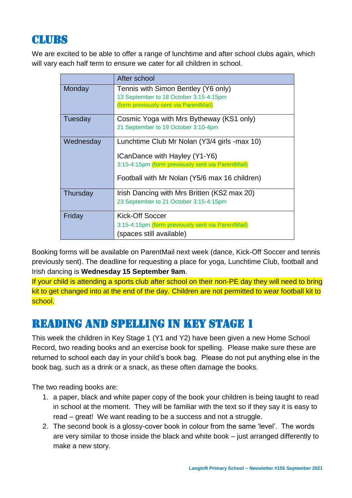# **CLUBS**

We are excited to be able to offer a range of lunchtime and after school clubs again, which will vary each half term to ensure we cater for all children in school.

|           | After school                                                                                                                                                                        |
|-----------|-------------------------------------------------------------------------------------------------------------------------------------------------------------------------------------|
| Monday    | Tennis with Simon Bentley (Y6 only)<br>13 September to 18 October 3:15-4:15pm<br>(form previously sent via ParentMail)                                                              |
| Tuesday   | Cosmic Yoga with Mrs Bytheway (KS1 only)<br>21 September to 19 October 3:10-4pm                                                                                                     |
| Wednesday | Lunchtime Club Mr Nolan (Y3/4 girls -max 10)<br>ICanDance with Hayley (Y1-Y6)<br>3:15-4:15pm (form previously sent via ParentMail)<br>Football with Mr Nolan (Y5/6 max 16 children) |
| Thursday  | Irish Dancing with Mrs Britten (KS2 max 20)<br>23 September to 21 October 3:15-4:15pm                                                                                               |
| Friday    | Kick-Off Soccer<br>3:15-4:15pm (form previously sent via ParentMail)<br>(spaces still available)                                                                                    |

Booking forms will be available on ParentMail next week (dance, Kick-Off Soccer and tennis previously sent). The deadline for requesting a place for yoga, Lunchtime Club, football and Irish dancing is **Wednesday 15 September 9am**.

If your child is attending a sports club after school on their non-PE day they will need to bring kit to get changed into at the end of the day. Children are not permitted to wear football kit to school.

# READING AND SPELLING IN KEY STAGE 1

This week the children in Key Stage 1 (Y1 and Y2) have been given a new Home School Record, two reading books and an exercise book for spelling. Please make sure these are returned to school each day in your child's book bag. Please do not put anything else in the book bag, such as a drink or a snack, as these often damage the books.

The two reading books are:

- 1. a paper, black and white paper copy of the book your children is being taught to read in school at the moment. They will be familiar with the text so if they say it is easy to read – great! We want reading to be a success and not a struggle.
- 2. The second book is a glossy-cover book in colour from the same 'level'. The words are very similar to those inside the black and white book – just arranged differently to make a new story.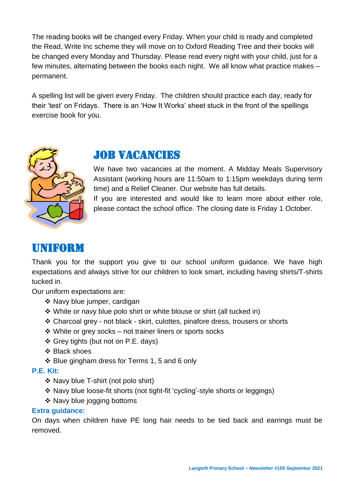The reading books will be changed every Friday. When your child is ready and completed the Read, Write Inc scheme they will move on to Oxford Reading Tree and their books will be changed every Monday and Thursday. Please read every night with your child, just for a few minutes, alternating between the books each night. We all know what practice makes – permanent.

A spelling list will be given every Friday. The children should practice each day, ready for their 'test' on Fridays. There is an 'How It Works' sheet stuck in the front of the spellings exercise book for you.



### **JOB VACANCIES**

We have two vacancies at the moment. A Midday Meals Supervisory Assistant (working hours are 11:50am to 1:15pm weekdays during term time) and a Relief Cleaner. Our website has full details. If you are interested and would like to learn more about either role, please contact the school office. The closing date is Friday 1 October.

### uniform

Thank you for the support you give to our school uniform guidance. We have high expectations and always strive for our children to look smart, including having shirts/T-shirts tucked in.

Our uniform expectations are:

- ❖ Navy blue jumper, cardigan
- ❖ White or navy blue polo shirt or white blouse or shirt (all tucked in)
- ❖ Charcoal grey not black skirt, culottes, pinafore dress, trousers or shorts
- ❖ White or grey socks not trainer liners or sports socks
- ❖ Grey tights (but not on P.E. days)
- ❖ Black shoes
- ❖ Blue gingham dress for Terms 1, 5 and 6 only

#### **P.E. Kit:**

- ❖ Navy blue T-shirt (not polo shirt)
- ❖ Navy blue loose-fit shorts (not tight-fit 'cycling'-style shorts or leggings)
- ❖ Navy blue jogging bottoms

#### **Extra guidance:**

On days when children have PE long hair needs to be tied back and earrings must be removed.